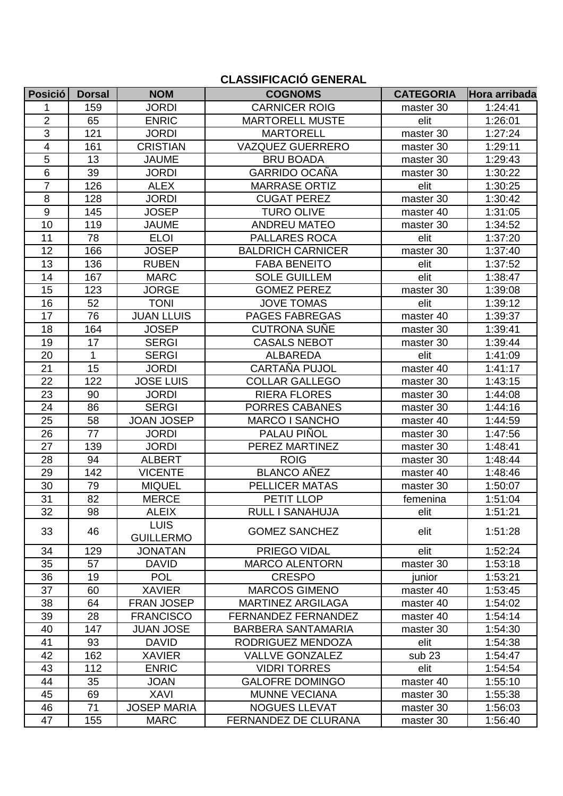#### **CLASSIFICACIÓ GENERAL**

| <b>Posició</b>  | <b>Dorsal</b> | <b>NOM</b>                      | <b>COGNOMS</b>             | <b>CATEGORIA</b>  | Hora arribada |
|-----------------|---------------|---------------------------------|----------------------------|-------------------|---------------|
| 1               | 159           | <b>JORDI</b>                    | <b>CARNICER ROIG</b>       | master 30         | 1:24:41       |
| 2               | 65            | <b>ENRIC</b>                    | <b>MARTORELL MUSTE</b>     | elit              | 1:26:01       |
| 3               | 121           | <b>JORDI</b>                    | <b>MARTORELL</b>           | master 30         | 1:27:24       |
| 4               | 161           | <b>CRISTIAN</b>                 | <b>VAZQUEZ GUERRERO</b>    | master 30         | 1:29:11       |
| $\overline{5}$  | 13            | <b>JAUME</b>                    | <b>BRU BOADA</b>           | master 30         | 1:29:43       |
| $6\phantom{1}$  | 39            | <b>JORDI</b>                    | <b>GARRIDO OCAÑA</b>       | master 30         | 1:30:22       |
| $\overline{7}$  | 126           | <b>ALEX</b>                     | <b>MARRASE ORTIZ</b>       | elit              | 1:30:25       |
| 8               | 128           | <b>JORDI</b>                    | <b>CUGAT PEREZ</b>         | master 30         | 1:30:42       |
| $9\,$           | 145           | <b>JOSEP</b>                    | <b>TURO OLIVE</b>          | master 40         | 1:31:05       |
| 10              | 119           | <b>JAUME</b>                    | <b>ANDREU MATEO</b>        | master 30         | 1:34:52       |
| 11              | 78            | <b>ELOI</b>                     | <b>PALLARES ROCA</b>       | elit              | 1:37:20       |
| 12              | 166           | <b>JOSEP</b>                    | <b>BALDRICH CARNICER</b>   | master 30         | 1:37:40       |
| 13              | 136           | <b>RUBEN</b>                    | <b>FABA BENEITO</b>        | elit              | 1:37:52       |
| 14              | 167           | <b>MARC</b>                     | <b>SOLE GUILLEM</b>        | elit              | 1:38:47       |
| 15              | 123           | <b>JORGE</b>                    | <b>GOMEZ PEREZ</b>         | master 30         | 1:39:08       |
| 16              | 52            | <b>TONI</b>                     | <b>JOVE TOMAS</b>          | elit              | 1:39:12       |
| 17              | 76            | <b>JUAN LLUIS</b>               | <b>PAGES FABREGAS</b>      | master 40         | 1:39:37       |
| 18              | 164           | <b>JOSEP</b>                    | <b>CUTRONA SUÑE</b>        | master 30         | 1:39:41       |
| 19              | 17            | <b>SERGI</b>                    | <b>CASALS NEBOT</b>        | master 30         | 1:39:44       |
| 20              | $\mathbf{1}$  | <b>SERGI</b>                    | <b>ALBAREDA</b>            | elit              | 1:41:09       |
| 21              | 15            | <b>JORDI</b>                    | CARTAÑA PUJOL              | master 40         | 1:41:17       |
| 22              | 122           | <b>JOSE LUIS</b>                | <b>COLLAR GALLEGO</b>      | master 30         | 1:43:15       |
| 23              | 90            | <b>JORDI</b>                    | <b>RIERA FLORES</b>        | master 30         | 1:44:08       |
| 24              | 86            | <b>SERGI</b>                    | <b>PORRES CABANES</b>      | master 30         | 1:44:16       |
| 25              | 58            | <b>JOAN JOSEP</b>               | <b>MARCO I SANCHO</b>      | master 40         | 1:44:59       |
| 26              | 77            | <b>JORDI</b>                    | PALAU PIÑOL                | master 30         | 1:47:56       |
| 27              | 139           | <b>JORDI</b>                    | PEREZ MARTINEZ             | master 30         | 1:48:41       |
| 28              | 94            | <b>ALBERT</b>                   | <b>ROIG</b>                | master 30         | 1:48:44       |
| 29              | 142           | <b>VICENTE</b>                  | <b>BLANCO AÑEZ</b>         | master 40         | 1:48:46       |
| 30              | 79            | <b>MIQUEL</b>                   | <b>PELLICER MATAS</b>      | master 30         | 1:50:07       |
| 31              | 82            | <b>MERCE</b>                    | PETIT LLOP                 | femenina          | 1:51:04       |
| $\overline{32}$ | 98            | <b>ALEIX</b>                    | <b>RULL I SANAHUJA</b>     | elit              | 1:51:21       |
| 33              | 46            | <b>LUIS</b><br><b>GUILLERMO</b> | <b>GOMEZ SANCHEZ</b>       | elit              | 1:51:28       |
| 34              | 129           | <b>JONATAN</b>                  | PRIEGO VIDAL               | elit              | 1:52:24       |
| 35              | 57            | <b>DAVID</b>                    | <b>MARCO ALENTORN</b>      | master 30         | 1:53:18       |
| 36              | 19            | <b>POL</b>                      | <b>CRESPO</b>              | junior            | 1:53:21       |
| 37              | 60            | <b>XAVIER</b>                   | <b>MARCOS GIMENO</b>       | master 40         | 1:53:45       |
| 38              | 64            | <b>FRAN JOSEP</b>               | <b>MARTINEZ ARGILAGA</b>   | master 40         | 1:54:02       |
| 39              | 28            | <b>FRANCISCO</b>                | <b>FERNANDEZ FERNANDEZ</b> | master 40         | 1:54:14       |
| 40              | 147           | <b>JUAN JOSE</b>                | <b>BARBERA SANTAMARIA</b>  | master 30         | 1:54:30       |
| 41              | 93            | <b>DAVID</b>                    | RODRIGUEZ MENDOZA          | elit              | 1:54:38       |
| 42              | 162           | <b>XAVIER</b>                   | <b>VALLVE GONZALEZ</b>     | sub <sub>23</sub> | 1:54:47       |
| 43              | 112           | <b>ENRIC</b>                    | <b>VIDRI TORRES</b>        | elit              | 1:54:54       |
| 44              | 35            | <b>JOAN</b>                     | <b>GALOFRE DOMINGO</b>     | master 40         | 1:55:10       |
| 45              | 69            | <b>XAVI</b>                     | <b>MUNNE VECIANA</b>       | master 30         | 1:55:38       |
| 46              | 71            | <b>JOSEP MARIA</b>              | <b>NOGUES LLEVAT</b>       | master 30         | 1:56:03       |
| 47              | 155           | <b>MARC</b>                     | FERNANDEZ DE CLURANA       | master 30         | 1:56:40       |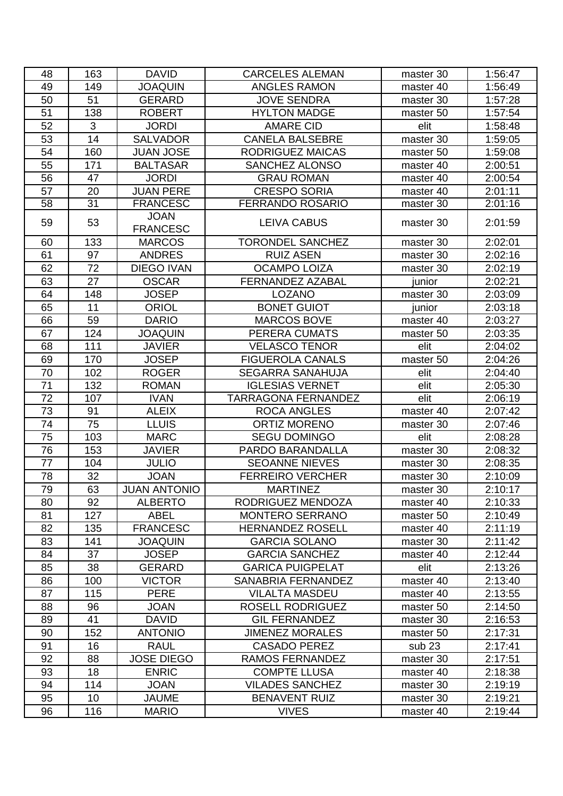| 48       | 163            | <b>DAVID</b>                 | <b>CARCELES ALEMAN</b>               | master 30              | 1:56:47            |
|----------|----------------|------------------------------|--------------------------------------|------------------------|--------------------|
| 49       | 149            | <b>JOAQUIN</b>               | <b>ANGLES RAMON</b>                  | master 40              | 1:56:49            |
| 50       | 51             | <b>GERARD</b>                | <b>JOVE SENDRA</b>                   | master 30              | 1:57:28            |
| 51       | 138            | <b>ROBERT</b>                | <b>HYLTON MADGE</b>                  | master 50              | 1:57:54            |
| 52       | $\mathfrak{S}$ | <b>JORDI</b>                 | <b>AMARE CID</b>                     | elit                   | 1:58:48            |
| 53       | 14             | <b>SALVADOR</b>              | <b>CANELA BALSEBRE</b>               | master 30              | 1:59:05            |
| 54       | 160            | <b>JUAN JOSE</b>             | <b>RODRIGUEZ MAICAS</b>              | master 50              | 1:59:08            |
| 55       | 171            | <b>BALTASAR</b>              | <b>SANCHEZ ALONSO</b>                | master 40              | 2:00:51            |
| 56       | 47             | <b>JORDI</b>                 | <b>GRAU ROMAN</b>                    | master 40              | 2:00:54            |
| 57       | 20             | <b>JUAN PERE</b>             | <b>CRESPO SORIA</b>                  | master 40              | 2:01:11            |
| 58       | 31             | <b>FRANCESC</b>              | <b>FERRANDO ROSARIO</b>              | master 30              | 2:01:16            |
| 59       | 53             | <b>JOAN</b>                  | <b>LEIVA CABUS</b>                   | master 30              | 2:01:59            |
|          |                | <b>FRANCESC</b>              |                                      |                        |                    |
| 60       | 133            | <b>MARCOS</b>                | <b>TORONDEL SANCHEZ</b>              | master 30              | 2:02:01            |
| 61       | 97             | <b>ANDRES</b>                | <b>RUIZ ASEN</b>                     | master 30              | 2:02:16            |
| 62       | 72             | <b>DIEGO IVAN</b>            | <b>OCAMPO LOIZA</b>                  | master 30              | 2:02:19            |
| 63       | 27             | <b>OSCAR</b>                 | <b>FERNANDEZ AZABAL</b>              | junior                 | 2:02:21            |
| 64       | 148            | <b>JOSEP</b>                 | <b>LOZANO</b>                        | master 30              | 2:03:09            |
| 65       | 11             | <b>ORIOL</b>                 | <b>BONET GUIOT</b>                   | junior                 | 2:03:18            |
| 66       | 59             | <b>DARIO</b>                 | <b>MARCOS BOVE</b>                   | master 40              | 2:03:27            |
| 67       | 124            | <b>JOAQUIN</b>               | PERERA CUMATS                        | master 50              | 2:03:35            |
| 68       | 111            | <b>JAVIER</b>                | <b>VELASCO TENOR</b>                 | elit                   | 2:04:02            |
| 69       | 170            | <b>JOSEP</b>                 | <b>FIGUEROLA CANALS</b>              | master 50              | 2:04:26            |
| 70       | 102            | <b>ROGER</b>                 | <b>SEGARRA SANAHUJA</b>              | elit                   | 2:04:40            |
| 71       | 132            | <b>ROMAN</b>                 | <b>IGLESIAS VERNET</b>               | elit                   | 2:05:30            |
| 72       | 107            | <b>IVAN</b>                  | <b>TARRAGONA FERNANDEZ</b>           | elit                   | 2:06:19            |
| 73       | 91             | <b>ALEIX</b>                 | ROCA ANGLES                          | master 40              | 2:07:42            |
| 74       | 75             | <b>LLUIS</b>                 | <b>ORTIZ MORENO</b>                  | master 30              | 2:07:46            |
| 75       | 103            | <b>MARC</b>                  | <b>SEGU DOMINGO</b>                  | elit                   | 2:08:28            |
| 76       | 153            | <b>JAVIER</b>                | PARDO BARANDALLA                     | master 30              | 2:08:32            |
| 77       | 104            | <b>JULIO</b>                 | <b>SEOANNE NIEVES</b>                | master 30              | 2:08:35            |
| 78       | 32             | <b>JOAN</b>                  | <b>FERREIRO VERCHER</b>              | master 30              | 2:10:09            |
| 79       | 63             | <b>JUAN ANTONIO</b>          | <b>MARTINEZ</b>                      | master 30              | 2:10:17            |
| 80       | 92             | <b>ALBERTO</b>               | RODRIGUEZ MENDOZA                    | master 40              | 2:10:33            |
| 81       | 127            | <b>ABEL</b>                  | <b>MONTERO SERRANO</b>               | master 50              | 2:10:49            |
| 82       | 135            | <b>FRANCESC</b>              | <b>HERNANDEZ ROSELL</b>              | master 40              | 2:11:19            |
| 83       | 141            | <b>JOAQUIN</b>               | <b>GARCIA SOLANO</b>                 | master 30              | 2:11:42            |
| 84       | 37             | <b>JOSEP</b>                 | <b>GARCIA SANCHEZ</b>                | master 40              | 2:12:44            |
| 85       | 38             | <b>GERARD</b>                | <b>GARICA PUIGPELAT</b>              | elit                   | 2:13:26            |
| 86       | 100            | <b>VICTOR</b>                | SANABRIA FERNANDEZ                   | master 40              | 2:13:40            |
| 87       | 115            | <b>PERE</b>                  | <b>VILALTA MASDEU</b>                | master 40              | 2:13:55            |
| 88       | 96             | <b>JOAN</b>                  | <b>ROSELL RODRIGUEZ</b>              | master 50              | 2:14:50            |
| 89       | 41             | <b>DAVID</b>                 | <b>GIL FERNANDEZ</b>                 | master 30              | 2:16:53            |
| 90       | 152            | <b>ANTONIO</b>               | <b>JIMENEZ MORALES</b>               | master 50              | 2:17:31            |
| 91       | 16             | <b>RAUL</b>                  | <b>CASADO PEREZ</b>                  | sub <sub>23</sub>      | 2:17:41            |
| 92       |                |                              |                                      | master 30              | 2:17:51            |
|          | 88             | <b>JOSE DIEGO</b>            | <b>RAMOS FERNANDEZ</b>               |                        |                    |
| 93       | 18             | <b>ENRIC</b>                 | <b>COMPTE LLUSA</b>                  | master 40              | 2:18:38            |
| 94       | 114            | <b>JOAN</b>                  | <b>VILADES SANCHEZ</b>               | master 30              | 2:19:19            |
| 95<br>96 | 10<br>116      | <b>JAUME</b><br><b>MARIO</b> | <b>BENAVENT RUIZ</b><br><b>VIVES</b> | master 30<br>master 40 | 2:19:21<br>2:19:44 |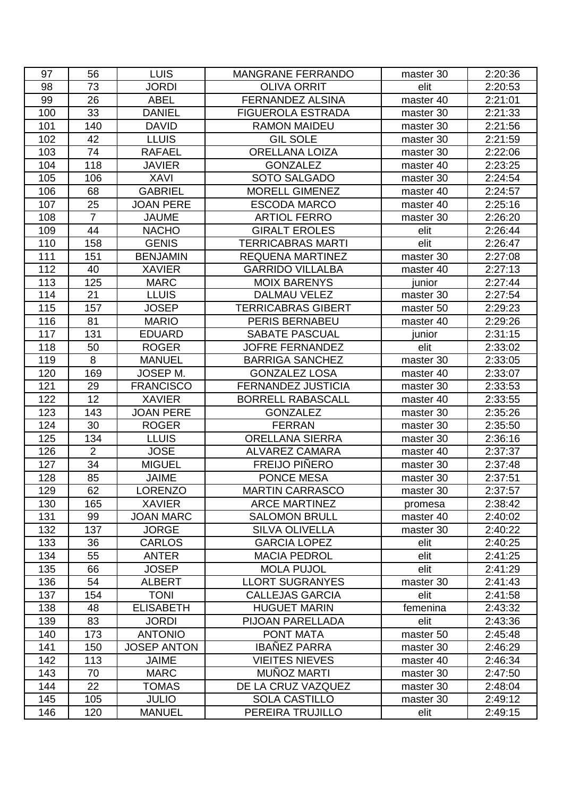| 97  | 56             | <b>LUIS</b>        | <b>MANGRANE FERRANDO</b>  | master 30 | 2:20:36 |
|-----|----------------|--------------------|---------------------------|-----------|---------|
| 98  | 73             | <b>JORDI</b>       | <b>OLIVA ORRIT</b>        | elit      | 2:20:53 |
| 99  | 26             | <b>ABEL</b>        | FERNANDEZ ALSINA          | master 40 | 2:21:01 |
| 100 | 33             | <b>DANIEL</b>      | <b>FIGUEROLA ESTRADA</b>  | master 30 | 2:21:33 |
| 101 | 140            | <b>DAVID</b>       | <b>RAMON MAIDEU</b>       | master 30 | 2:21:56 |
| 102 | 42             | <b>LLUIS</b>       | <b>GIL SOLE</b>           | master 30 | 2:21:59 |
| 103 | 74             | <b>RAFAEL</b>      | <b>ORELLANA LOIZA</b>     | master 30 | 2:22:06 |
| 104 | 118            | <b>JAVIER</b>      | <b>GONZALEZ</b>           | master 40 | 2:23:25 |
| 105 | 106            | <b>XAVI</b>        | SOTO SALGADO              | master 30 | 2:24:54 |
| 106 | 68             | <b>GABRIEL</b>     | <b>MORELL GIMENEZ</b>     | master 40 | 2:24:57 |
| 107 | 25             | <b>JOAN PERE</b>   | <b>ESCODA MARCO</b>       | master 40 | 2:25:16 |
| 108 | $\overline{7}$ | <b>JAUME</b>       | <b>ARTIOL FERRO</b>       | master 30 | 2:26:20 |
| 109 | 44             | <b>NACHO</b>       | <b>GIRALT EROLES</b>      | elit      | 2:26:44 |
| 110 | 158            | <b>GENIS</b>       | <b>TERRICABRAS MARTI</b>  | elit      | 2:26:47 |
| 111 | 151            | <b>BENJAMIN</b>    | <b>REQUENA MARTINEZ</b>   | master 30 | 2:27:08 |
| 112 | 40             | <b>XAVIER</b>      | <b>GARRIDO VILLALBA</b>   | master 40 | 2:27:13 |
| 113 | 125            | <b>MARC</b>        | <b>MOIX BARENYS</b>       | junior    | 2:27:44 |
| 114 | 21             | <b>LLUIS</b>       | DALMAU VELEZ              | master 30 | 2:27:54 |
| 115 | 157            | <b>JOSEP</b>       | <b>TERRICABRAS GIBERT</b> | master 50 | 2:29:23 |
| 116 | 81             | <b>MARIO</b>       | PERIS BERNABEU            | master 40 | 2:29:26 |
| 117 | 131            | <b>EDUARD</b>      | <b>SABATE PASCUAL</b>     | junior    | 2:31:15 |
| 118 | 50             | <b>ROGER</b>       | <b>JOFRE FERNANDEZ</b>    | elit      | 2:33:02 |
| 119 | 8              | <b>MANUEL</b>      | <b>BARRIGA SANCHEZ</b>    | master 30 | 2:33:05 |
| 120 | 169            | JOSEP M.           | <b>GONZALEZ LOSA</b>      | master 40 | 2:33:07 |
| 121 | 29             | <b>FRANCISCO</b>   | <b>FERNANDEZ JUSTICIA</b> | master 30 | 2:33:53 |
| 122 | 12             | <b>XAVIER</b>      | <b>BORRELL RABASCALL</b>  | master 40 | 2:33:55 |
| 123 | 143            | <b>JOAN PERE</b>   | <b>GONZALEZ</b>           | master 30 | 2:35:26 |
| 124 | 30             | <b>ROGER</b>       | <b>FERRAN</b>             | master 30 | 2:35:50 |
| 125 | 134            | <b>LLUIS</b>       | <b>ORELLANA SIERRA</b>    | master 30 | 2:36:16 |
| 126 | $\overline{2}$ | <b>JOSE</b>        | <b>ALVAREZ CAMARA</b>     | master 40 | 2:37:37 |
| 127 | 34             | <b>MIGUEL</b>      | <b>FREIJO PIÑERO</b>      | master 30 | 2:37:48 |
| 128 | 85             | <b>JAIME</b>       | <b>PONCE MESA</b>         | master 30 | 2:37:51 |
| 129 | 62             | <b>LORENZO</b>     | <b>MARTIN CARRASCO</b>    | master 30 | 2:37:57 |
| 130 | 165            | <b>XAVIER</b>      | <b>ARCE MARTINEZ</b>      | promesa   | 2:38:42 |
| 131 | 99             | <b>JOAN MARC</b>   | <b>SALOMON BRULL</b>      | master 40 | 2:40:02 |
| 132 | 137            | <b>JORGE</b>       | <b>SILVA OLIVELLA</b>     | master 30 | 2:40:22 |
| 133 | 36             | <b>CARLOS</b>      | <b>GARCIA LOPEZ</b>       | elit      | 2:40:25 |
| 134 | 55             | <b>ANTER</b>       | <b>MACIA PEDROL</b>       | elit      | 2:41:25 |
| 135 | 66             | <b>JOSEP</b>       | <b>MOLA PUJOL</b>         | elit      | 2:41:29 |
| 136 | 54             | <b>ALBERT</b>      | <b>LLORT SUGRANYES</b>    | master 30 | 2:41:43 |
| 137 | 154            | <b>TONI</b>        | <b>CALLEJAS GARCIA</b>    | elit      | 2:41:58 |
| 138 | 48             | <b>ELISABETH</b>   | <b>HUGUET MARIN</b>       | femenina  | 2:43:32 |
| 139 | 83             | <b>JORDI</b>       | PIJOAN PARELLADA          | elit      | 2:43:36 |
| 140 | 173            | <b>ANTONIO</b>     | <b>PONT MATA</b>          | master 50 | 2:45:48 |
| 141 | 150            | <b>JOSEP ANTON</b> | <b>IBAÑEZ PARRA</b>       | master 30 | 2:46:29 |
| 142 | 113            | <b>JAIME</b>       | <b>VIEITES NIEVES</b>     | master 40 | 2:46:34 |
| 143 | 70             | <b>MARC</b>        | MUÑOZ MARTI               | master 30 | 2:47:50 |
| 144 | 22             | <b>TOMAS</b>       | DE LA CRUZ VAZQUEZ        | master 30 | 2:48:04 |
| 145 | 105            | <b>JULIO</b>       | <b>SOLA CASTILLO</b>      | master 30 | 2:49:12 |
| 146 | 120            | <b>MANUEL</b>      | PEREIRA TRUJILLO          | elit      | 2:49:15 |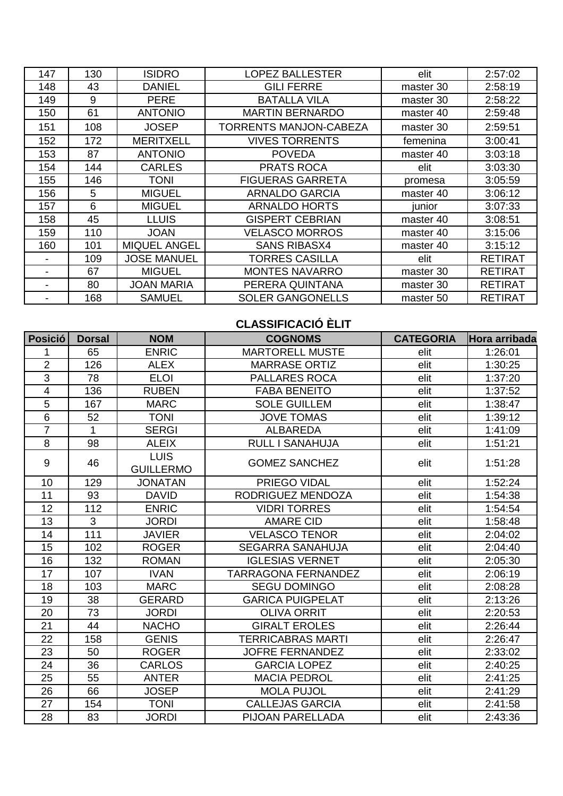| 147 | 130 | <b>ISIDRO</b>       | <b>LOPEZ BALLESTER</b>        | elit      | 2:57:02        |
|-----|-----|---------------------|-------------------------------|-----------|----------------|
| 148 | 43  | <b>DANIEL</b>       | <b>GILI FERRE</b>             | master 30 | 2:58:19        |
| 149 | 9   | <b>PERE</b>         | <b>BATALLA VILA</b>           | master 30 | 2:58:22        |
| 150 | 61  | <b>ANTONIO</b>      | <b>MARTIN BERNARDO</b>        | master 40 | 2:59:48        |
| 151 | 108 | <b>JOSEP</b>        | <b>TORRENTS MANJON-CABEZA</b> | master 30 | 2:59:51        |
| 152 | 172 | <b>MERITXELL</b>    | <b>VIVES TORRENTS</b>         | femenina  | 3:00:41        |
| 153 | 87  | <b>ANTONIO</b>      | <b>POVEDA</b>                 | master 40 | 3:03:18        |
| 154 | 144 | <b>CARLES</b>       | <b>PRATS ROCA</b>             | elit      | 3:03:30        |
| 155 | 146 | <b>TONI</b>         | <b>FIGUERAS GARRETA</b>       | promesa   | 3:05:59        |
| 156 | 5   | <b>MIGUEL</b>       | <b>ARNALDO GARCIA</b>         | master 40 | 3:06:12        |
| 157 | 6   | <b>MIGUEL</b>       | <b>ARNALDO HORTS</b>          | junior    | 3:07:33        |
| 158 | 45  | <b>LLUIS</b>        | <b>GISPERT CEBRIAN</b>        | master 40 | 3:08:51        |
| 159 | 110 | <b>JOAN</b>         | <b>VELASCO MORROS</b>         | master 40 | 3:15:06        |
| 160 | 101 | <b>MIQUEL ANGEL</b> | <b>SANS RIBASX4</b>           | master 40 | 3:15:12        |
|     | 109 | <b>JOSE MANUEL</b>  | TORRES CASILLA                | elit      | <b>RETIRAT</b> |
|     | 67  | <b>MIGUEL</b>       | <b>MONTES NAVARRO</b>         | master 30 | <b>RETIRAT</b> |
|     | 80  | <b>JOAN MARIA</b>   | PERERA QUINTANA               | master 30 | <b>RETIRAT</b> |
|     | 168 | <b>SAMUEL</b>       | <b>SOLER GANGONELLS</b>       | master 50 | <b>RETIRAT</b> |

# **CLASSIFICACIÓ ÈLIT**

| <b>Posició</b>  | <b>Dorsal</b> | <b>NOM</b>                      | <b>COGNOMS</b>             | <b>CATEGORIA</b> | Hora arribada |
|-----------------|---------------|---------------------------------|----------------------------|------------------|---------------|
| 1               | 65            | <b>ENRIC</b>                    | <b>MARTORELL MUSTE</b>     | elit             | 1:26:01       |
| $\overline{2}$  | 126           | <b>ALEX</b>                     | <b>MARRASE ORTIZ</b>       | elit             | 1:30:25       |
| 3               | 78            | <b>ELOI</b>                     | <b>PALLARES ROCA</b>       | elit             | 1:37:20       |
| 4               | 136           | <b>RUBEN</b>                    | <b>FABA BENEITO</b>        | elit             | 1:37:52       |
| 5               | 167           | <b>MARC</b>                     | <b>SOLE GUILLEM</b>        | elit             | 1:38:47       |
| $6\phantom{1}6$ | 52            | <b>TONI</b>                     | <b>JOVE TOMAS</b>          | elit             | 1:39:12       |
| $\overline{7}$  | 1             | <b>SERGI</b>                    | <b>ALBAREDA</b>            | elit             | 1:41:09       |
| 8               | 98            | <b>ALEIX</b>                    | <b>RULL I SANAHUJA</b>     | elit             | 1:51:21       |
| 9               | 46            | <b>LUIS</b><br><b>GUILLERMO</b> | <b>GOMEZ SANCHEZ</b>       | elit             | 1:51:28       |
| 10              | 129           | <b>JONATAN</b>                  | PRIEGO VIDAL               | elit             | 1:52:24       |
| 11              | 93            | <b>DAVID</b>                    | RODRIGUEZ MENDOZA          | elit             | 1:54:38       |
| 12              | 112           | <b>ENRIC</b>                    | <b>VIDRI TORRES</b>        | elit             | 1:54:54       |
| 13              | 3             | <b>JORDI</b>                    | <b>AMARE CID</b>           | elit             | 1:58:48       |
| 14              | 111           | <b>JAVIER</b>                   | <b>VELASCO TENOR</b>       | elit             | 2:04:02       |
| 15              | 102           | <b>ROGER</b>                    | <b>SEGARRA SANAHUJA</b>    | elit             | 2:04:40       |
| 16              | 132           | <b>ROMAN</b>                    | <b>IGLESIAS VERNET</b>     | elit             | 2:05:30       |
| 17              | 107           | <b>IVAN</b>                     | <b>TARRAGONA FERNANDEZ</b> | elit             | 2:06:19       |
| 18              | 103           | <b>MARC</b>                     | <b>SEGU DOMINGO</b>        | elit             | 2:08:28       |
| 19              | 38            | <b>GERARD</b>                   | <b>GARICA PUIGPELAT</b>    | elit             | 2:13:26       |
| 20              | 73            | <b>JORDI</b>                    | <b>OLIVA ORRIT</b>         | elit             | 2:20:53       |
| 21              | 44            | <b>NACHO</b>                    | <b>GIRALT EROLES</b>       | elit             | 2:26:44       |
| 22              | 158           | <b>GENIS</b>                    | <b>TERRICABRAS MARTI</b>   | elit             | 2:26:47       |
| 23              | 50            | <b>ROGER</b>                    | <b>JOFRE FERNANDEZ</b>     | elit             | 2:33:02       |
| 24              | 36            | <b>CARLOS</b>                   | <b>GARCIA LOPEZ</b>        | elit             | 2:40:25       |
| 25              | 55            | <b>ANTER</b>                    | <b>MACIA PEDROL</b>        | elit             | 2:41:25       |
| 26              | 66            | <b>JOSEP</b>                    | <b>MOLA PUJOL</b>          | elit             | 2:41:29       |
| 27              | 154           | <b>TONI</b>                     | <b>CALLEJAS GARCIA</b>     | elit             | 2:41:58       |
| 28              | 83            | <b>JORDI</b>                    | PIJOAN PARELLADA           | elit             | 2:43:36       |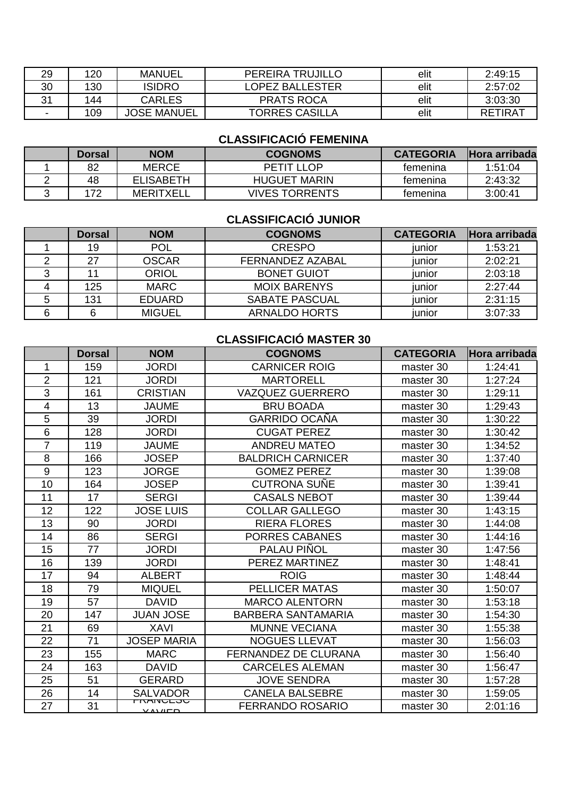| 29 | 120 | <b>MANUEL</b>      | PEREIRA TRUJILLO      | elit | 2:49:15        |
|----|-----|--------------------|-----------------------|------|----------------|
| 30 | 130 | <b>ISIDRO</b>      | LOPEZ BALLESTER       | elit | 2:57:02        |
| 21 | 144 | CARLES             | <b>PRATS ROCA</b>     | elit | 3:03:30        |
| -  | 109 | <b>JOSE MANUEL</b> | <b>TORRES CASILLA</b> | elit | <b>RETIRAT</b> |

#### **CLASSIFICACIÓ FEMENINA**

| Dorsal | <b>NOM</b>       | <b>COGNOMS</b>      | <b>CATEGORIA</b> | <b>Hora arribada</b> |
|--------|------------------|---------------------|------------------|----------------------|
| 82     | <b>MERCE</b>     | PETIT I LOP         | temenina         | 1:51:04              |
| 48     | <b>ELISABETH</b> | <b>HUGUET MARIN</b> | temenina         | 2:43:32              |
| 172    | <b>MERITXELL</b> | VIVES TORRENTS      | temenina         | 3:00:41              |

# **CLASSIFICACIÓ JUNIOR**

| <b>Dorsal</b> | <b>NOM</b>    | <b>COGNOMS</b>        | <b>CATEGORIA</b> | <b>Hora arribada</b> |
|---------------|---------------|-----------------------|------------------|----------------------|
| 19            | <b>POL</b>    | <b>CRESPO</b>         | iunior           | 1:53:21              |
| 27            | <b>OSCAR</b>  | FERNANDEZ AZABAL      | iunior           | 2:02:21              |
|               | <b>ORIOL</b>  | <b>BONET GUIOT</b>    | junior           | 2:03:18              |
| 125           | <b>MARC</b>   | <b>MOIX BARENYS</b>   | junior           | 2:27:44              |
| 131           | <b>EDUARD</b> | <b>SABATE PASCUAL</b> | iunior           | 2:31:15              |
| 6             | <b>MIGUEL</b> | <b>ARNALDO HORTS</b>  | iunior           | 3:07:33              |

# **CLASSIFICACIÓ MASTER 30**

|                | <b>Dorsal</b> | <b>NOM</b>                  | <b>COGNOMS</b>              | <b>CATEGORIA</b> | Hora arribada |
|----------------|---------------|-----------------------------|-----------------------------|------------------|---------------|
| 1              | 159           | <b>JORDI</b>                | <b>CARNICER ROIG</b>        | master 30        | 1:24:41       |
| $\overline{2}$ | 121           | <b>JORDI</b>                | <b>MARTORELL</b>            | master 30        | 1:27:24       |
| 3              | 161           | <b>CRISTIAN</b>             | <b>VAZQUEZ GUERRERO</b>     | master 30        | 1:29:11       |
| 4              | 13            | <b>JAUME</b>                | <b>BRU BOADA</b>            | master 30        | 1:29:43       |
| 5              | 39            | <b>JORDI</b>                | <b>GARRIDO OCAÑA</b>        | master 30        | 1:30:22       |
| $6\phantom{1}$ | 128           | <b>JORDI</b>                | <b>CUGAT PEREZ</b>          | master 30        | 1:30:42       |
| $\overline{7}$ | 119           | <b>JAUME</b>                | <b>ANDREU MATEO</b>         | master 30        | 1:34:52       |
| 8              | 166           | <b>JOSEP</b>                | <b>BALDRICH CARNICER</b>    | master 30        | 1:37:40       |
| 9              | 123           | <b>JORGE</b>                | <b>GOMEZ PEREZ</b>          | master 30        | 1:39:08       |
| 10             | 164           | <b>JOSEP</b>                | <b>CUTRONA SUÑE</b>         | master 30        | 1:39:41       |
| 11             | 17            | <b>SERGI</b>                | <b>CASALS NEBOT</b>         | master 30        | 1:39:44       |
| 12             | 122           | <b>JOSE LUIS</b>            | <b>COLLAR GALLEGO</b>       | master 30        | 1:43:15       |
| 13             | 90            | <b>JORDI</b>                | <b>RIERA FLORES</b>         | master 30        | 1:44:08       |
| 14             | 86            | <b>SERGI</b>                | <b>PORRES CABANES</b>       | master 30        | 1:44:16       |
| 15             | 77            | <b>JORDI</b>                | <b>PALAU PIÑOL</b>          | master 30        | 1:47:56       |
| 16             | 139           | <b>JORDI</b>                | PEREZ MARTINEZ              | master 30        | 1:48:41       |
| 17             | 94            | <b>ALBERT</b>               | <b>ROIG</b>                 | master 30        | 1:48:44       |
| 18             | 79            | <b>MIQUEL</b>               | <b>PELLICER MATAS</b>       | master 30        | 1:50:07       |
| 19             | 57            | <b>DAVID</b>                | <b>MARCO ALENTORN</b>       | master 30        | 1:53:18       |
| 20             | 147           | <b>JUAN JOSE</b>            | <b>BARBERA SANTAMARIA</b>   | master 30        | 1:54:30       |
| 21             | 69            | <b>XAVI</b>                 | <b>MUNNE VECIANA</b>        | master 30        | 1:55:38       |
| 22             | 71            | <b>JOSEP MARIA</b>          | <b>NOGUES LLEVAT</b>        | master 30        | 1:56:03       |
| 23             | 155           | <b>MARC</b>                 | <b>FERNANDEZ DE CLURANA</b> | master 30        | 1:56:40       |
| 24             | 163           | <b>DAVID</b>                | <b>CARCELES ALEMAN</b>      | master 30        | 1:56:47       |
| 25             | 51            | <b>GERARD</b>               | <b>JOVE SENDRA</b>          | master 30        | 1:57:28       |
| 26             | 14            | <b>SALVADOR</b>             | <b>CANELA BALSEBRE</b>      | master 30        | 1:59:05       |
| 27             | 31            | <b>LIVAINULUU</b><br>VAVIED | <b>FERRANDO ROSARIO</b>     | master 30        | 2:01:16       |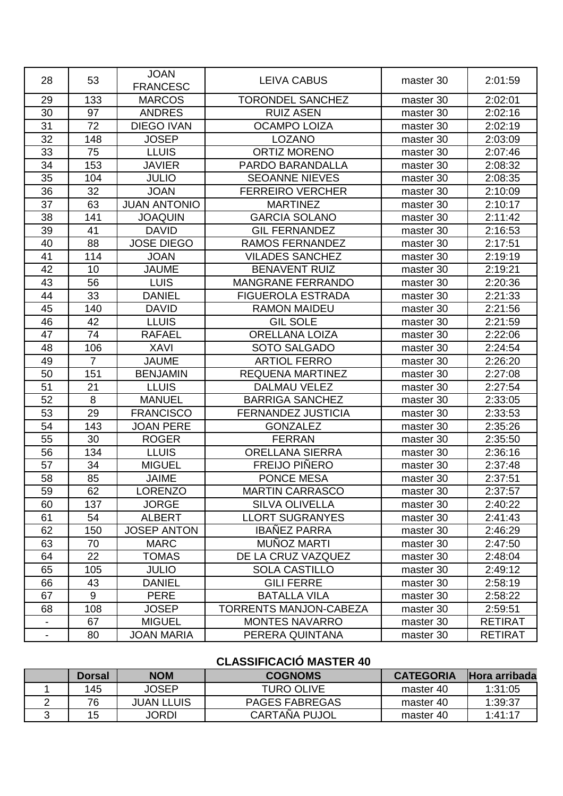| 28                       | 53             | <b>JOAN</b><br><b>FRANCESC</b> | <b>LEIVA CABUS</b>            | master 30 | 2:01:59        |
|--------------------------|----------------|--------------------------------|-------------------------------|-----------|----------------|
| 29                       | 133            | <b>MARCOS</b>                  | <b>TORONDEL SANCHEZ</b>       | master 30 | 2:02:01        |
| 30                       | 97             | <b>ANDRES</b>                  | <b>RUIZ ASEN</b>              | master 30 | 2:02:16        |
| 31                       | 72             | <b>DIEGO IVAN</b>              | <b>OCAMPO LOIZA</b>           | master 30 | 2:02:19        |
| 32                       | 148            | <b>JOSEP</b>                   | <b>LOZANO</b>                 | master 30 | 2:03:09        |
| 33                       | 75             | <b>LLUIS</b>                   | <b>ORTIZ MORENO</b>           | master 30 | 2:07:46        |
| 34                       | 153            | <b>JAVIER</b>                  | PARDO BARANDALLA              | master 30 | 2:08:32        |
| 35                       | 104            | <b>JULIO</b>                   | <b>SEOANNE NIEVES</b>         | master 30 | 2:08:35        |
| 36                       | 32             | <b>JOAN</b>                    | <b>FERREIRO VERCHER</b>       | master 30 | 2:10:09        |
| 37                       | 63             | <b>JUAN ANTONIO</b>            | <b>MARTINEZ</b>               | master 30 | 2:10:17        |
| 38                       | 141            | <b>JOAQUIN</b>                 | <b>GARCIA SOLANO</b>          | master 30 | 2:11:42        |
| 39                       | 41             | <b>DAVID</b>                   | <b>GIL FERNANDEZ</b>          | master 30 | 2:16:53        |
| 40                       | 88             | <b>JOSE DIEGO</b>              | <b>RAMOS FERNANDEZ</b>        | master 30 | 2:17:51        |
| 41                       | 114            | <b>JOAN</b>                    | <b>VILADES SANCHEZ</b>        | master 30 | 2:19:19        |
| 42                       | 10             | <b>JAUME</b>                   | <b>BENAVENT RUIZ</b>          | master 30 | 2:19:21        |
| 43                       | 56             | <b>LUIS</b>                    | <b>MANGRANE FERRANDO</b>      | master 30 | 2:20:36        |
| 44                       | 33             | <b>DANIEL</b>                  | <b>FIGUEROLA ESTRADA</b>      | master 30 | 2:21:33        |
| 45                       | 140            | <b>DAVID</b>                   | <b>RAMON MAIDEU</b>           | master 30 | 2:21:56        |
| 46                       | 42             | <b>LLUIS</b>                   | <b>GIL SOLE</b>               | master 30 | 2:21:59        |
| 47                       | 74             | <b>RAFAEL</b>                  | <b>ORELLANA LOIZA</b>         | master 30 | 2:22:06        |
| 48                       | 106            | <b>XAVI</b>                    | SOTO SALGADO                  | master 30 | 2:24:54        |
| 49                       | $\overline{7}$ | <b>JAUME</b>                   | <b>ARTIOL FERRO</b>           | master 30 | 2:26:20        |
| 50                       | 151            | <b>BENJAMIN</b>                | <b>REQUENA MARTINEZ</b>       | master 30 | 2:27:08        |
| 51                       | 21             | <b>LLUIS</b>                   | <b>DALMAU VELEZ</b>           | master 30 | 2:27:54        |
| 52                       | 8              | <b>MANUEL</b>                  | <b>BARRIGA SANCHEZ</b>        | master 30 | 2:33:05        |
| 53                       | 29             | <b>FRANCISCO</b>               | <b>FERNANDEZ JUSTICIA</b>     | master 30 | 2:33:53        |
| 54                       | 143            | <b>JOAN PERE</b>               | <b>GONZALEZ</b>               | master 30 | 2:35:26        |
| 55                       | 30             | <b>ROGER</b>                   | <b>FERRAN</b>                 | master 30 | 2:35:50        |
| 56                       | 134            | <b>LLUIS</b>                   | <b>ORELLANA SIERRA</b>        | master 30 | 2:36:16        |
| 57                       | 34             | <b>MIGUEL</b>                  | <b>FREIJO PIÑERO</b>          | master 30 | 2:37:48        |
| 58                       | 85             | <b>JAIME</b>                   | <b>PONCE MESA</b>             | master 30 | 2:37:51        |
| 59                       | 62             | <b>LORENZO</b>                 | <b>MARTIN CARRASCO</b>        | master 30 | 2:37:57        |
| 60                       | 137            | <b>JORGE</b>                   | <b>SILVA OLIVELLA</b>         | master 30 | 2:40:22        |
| 61                       | 54             | <b>ALBERT</b>                  | <b>LLORT SUGRANYES</b>        | master 30 | 2:41:43        |
| 62                       | 150            | <b>JOSEP ANTON</b>             | <b>IBAÑEZ PARRA</b>           | master 30 | 2:46:29        |
| 63                       | 70             | <b>MARC</b>                    | <b>MUÑOZ MARTI</b>            | master 30 | 2:47:50        |
| 64                       | 22             | <b>TOMAS</b>                   | DE LA CRUZ VAZQUEZ            | master 30 | 2:48:04        |
| 65                       | 105            | <b>JULIO</b>                   | <b>SOLA CASTILLO</b>          | master 30 | 2:49:12        |
| 66                       | 43             | <b>DANIEL</b>                  | <b>GILI FERRE</b>             | master 30 | 2:58:19        |
| 67                       | 9              | <b>PERE</b>                    | <b>BATALLA VILA</b>           | master 30 | 2:58:22        |
| 68                       | 108            | <b>JOSEP</b>                   | <b>TORRENTS MANJON-CABEZA</b> | master 30 | 2:59:51        |
|                          | 67             | <b>MIGUEL</b>                  | <b>MONTES NAVARRO</b>         | master 30 | <b>RETIRAT</b> |
| $\overline{\phantom{a}}$ | 80             | <b>JOAN MARIA</b>              | PERERA QUINTANA               | master 30 | <b>RETIRAT</b> |

# **CLASSIFICACIÓ MASTER 40**

|   | <b>Dorsal</b> | <b>NOM</b>  | <b>COGNOMS</b>        | <b>CATEGORIA</b> | <b>IHora arribada</b> |
|---|---------------|-------------|-----------------------|------------------|-----------------------|
|   | 145           | JOSEP       | TURO OLIVE            | master 40        | 1:31:05               |
| - | 76            | JUAN LLUIS. | <b>PAGES FABREGAS</b> | master 40        | 1:39:37               |
|   | 15            | JORDI       | <b>CARTAÑA PUJOL</b>  | master 40        | 1:41:17               |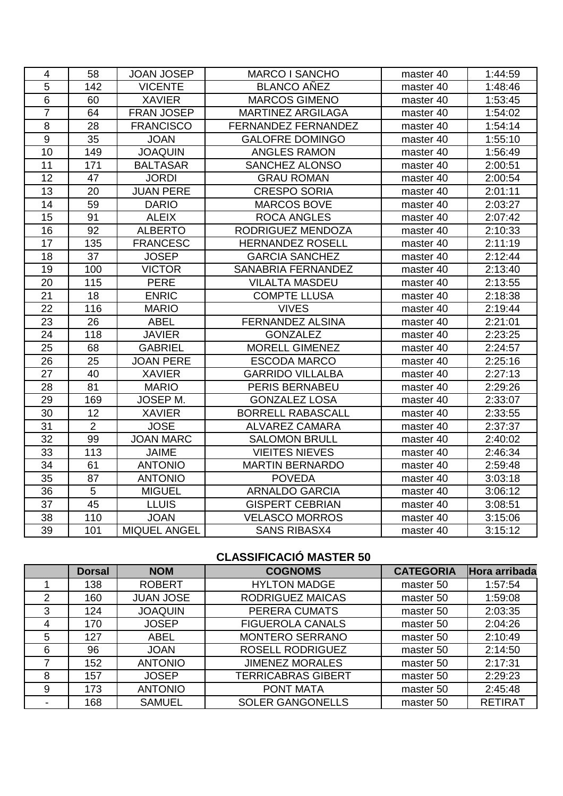| $\overline{4}$  | 58             | <b>JOAN JOSEP</b> | <b>MARCO I SANCHO</b>      | master 40 | 1:44:59 |
|-----------------|----------------|-------------------|----------------------------|-----------|---------|
| 5               | 142            | <b>VICENTE</b>    | <b>BLANCO AÑEZ</b>         | master 40 | 1:48:46 |
| $6\phantom{1}6$ | 60             | <b>XAVIER</b>     | <b>MARCOS GIMENO</b>       | master 40 | 1:53:45 |
| $\overline{7}$  | 64             | <b>FRAN JOSEP</b> | <b>MARTINEZ ARGILAGA</b>   | master 40 | 1:54:02 |
| 8               | 28             | <b>FRANCISCO</b>  | <b>FERNANDEZ FERNANDEZ</b> | master 40 | 1:54:14 |
| 9               | 35             | <b>JOAN</b>       | <b>GALOFRE DOMINGO</b>     | master 40 | 1:55:10 |
| 10              | 149            | <b>JOAQUIN</b>    | ANGLES RAMON               | master 40 | 1:56:49 |
| 11              | 171            | <b>BALTASAR</b>   | <b>SANCHEZ ALONSO</b>      | master 40 | 2:00:51 |
| 12              | 47             | <b>JORDI</b>      | <b>GRAU ROMAN</b>          | master 40 | 2:00:54 |
| 13              | 20             | <b>JUAN PERE</b>  | <b>CRESPO SORIA</b>        | master 40 | 2:01:11 |
| 14              | 59             | <b>DARIO</b>      | <b>MARCOS BOVE</b>         | master 40 | 2:03:27 |
| 15              | 91             | <b>ALEIX</b>      | <b>ROCA ANGLES</b>         | master 40 | 2:07:42 |
| 16              | 92             | <b>ALBERTO</b>    | RODRIGUEZ MENDOZA          | master 40 | 2:10:33 |
| 17              | 135            | <b>FRANCESC</b>   | <b>HERNANDEZ ROSELL</b>    | master 40 | 2:11:19 |
| 18              | 37             | <b>JOSEP</b>      | <b>GARCIA SANCHEZ</b>      | master 40 | 2:12:44 |
| 19              | 100            | <b>VICTOR</b>     | SANABRIA FERNANDEZ         | master 40 | 2:13:40 |
| 20              | 115            | <b>PERE</b>       | <b>VILALTA MASDEU</b>      | master 40 | 2:13:55 |
| 21              | 18             | <b>ENRIC</b>      | <b>COMPTE LLUSA</b>        | master 40 | 2:18:38 |
| 22              | 116            | <b>MARIO</b>      | <b>VIVES</b>               | master 40 | 2:19:44 |
| 23              | 26             | <b>ABEL</b>       | <b>FERNANDEZ ALSINA</b>    | master 40 | 2:21:01 |
| 24              | 118            | <b>JAVIER</b>     | <b>GONZALEZ</b>            | master 40 | 2:23:25 |
| 25              | 68             | <b>GABRIEL</b>    | MORELL GIMENEZ             | master 40 | 2:24:57 |
| 26              | 25             | <b>JOAN PERE</b>  | <b>ESCODA MARCO</b>        | master 40 | 2:25:16 |
| 27              | 40             | <b>XAVIER</b>     | <b>GARRIDO VILLALBA</b>    | master 40 | 2:27:13 |
| 28              | 81             | <b>MARIO</b>      | PERIS BERNABEU             | master 40 | 2:29:26 |
| 29              | 169            | JOSEP M.          | <b>GONZALEZ LOSA</b>       | master 40 | 2:33:07 |
| 30              | 12             | <b>XAVIER</b>     | <b>BORRELL RABASCALL</b>   | master 40 | 2:33:55 |
| 31              | $\overline{2}$ | <b>JOSE</b>       | <b>ALVAREZ CAMARA</b>      | master 40 | 2:37:37 |
| 32              | 99             | <b>JOAN MARC</b>  | <b>SALOMON BRULL</b>       | master 40 | 2:40:02 |
| 33              | 113            | <b>JAIME</b>      | <b>VIEITES NIEVES</b>      | master 40 | 2:46:34 |
| 34              | 61             | <b>ANTONIO</b>    | <b>MARTIN BERNARDO</b>     | master 40 | 2:59:48 |
| 35              | 87             | <b>ANTONIO</b>    | <b>POVEDA</b>              | master 40 | 3:03:18 |
| 36              | 5              | <b>MIGUEL</b>     | <b>ARNALDO GARCIA</b>      | master 40 | 3:06:12 |
| 37              | 45             | <b>LLUIS</b>      | <b>GISPERT CEBRIAN</b>     | master 40 | 3:08:51 |
| 38              | 110            | <b>JOAN</b>       | <b>VELASCO MORROS</b>      | master 40 | 3:15:06 |
| 39              | 101            | MIQUEL ANGEL      | <b>SANS RIBASX4</b>        | master 40 | 3:15:12 |

# **CLASSIFICACIÓ MASTER 50**

|   | <b>Dorsal</b> | <b>NOM</b>       | <b>COGNOMS</b>            | <b>CATEGORIA</b> | Hora arribada  |
|---|---------------|------------------|---------------------------|------------------|----------------|
|   | 138           | <b>ROBERT</b>    | <b>HYLTON MADGE</b>       | master 50        | 1:57:54        |
| 2 | 160           | <b>JUAN JOSE</b> | <b>RODRIGUEZ MAICAS</b>   | master 50        | 1:59:08        |
| 3 | 124           | <b>JOAQUIN</b>   | PERERA CUMATS             | master 50        | 2:03:35        |
| 4 | 170           | <b>JOSEP</b>     | <b>FIGUEROLA CANALS</b>   | master 50        | 2:04:26        |
| 5 | 127           | <b>ABEL</b>      | <b>MONTERO SERRANO</b>    | master 50        | 2:10:49        |
| 6 | 96            | <b>JOAN</b>      | ROSELL RODRIGUEZ          | master 50        | 2:14:50        |
|   | 152           | <b>ANTONIO</b>   | <b>JIMENEZ MORALES</b>    | master 50        | 2:17:31        |
| 8 | 157           | <b>JOSEP</b>     | <b>TERRICABRAS GIBERT</b> | master 50        | 2:29:23        |
| 9 | 173           | <b>ANTONIO</b>   | PONT MATA                 | master 50        | 2:45:48        |
|   | 168           | <b>SAMUEL</b>    | <b>SOLER GANGONELLS</b>   | master 50        | <b>RETIRAT</b> |